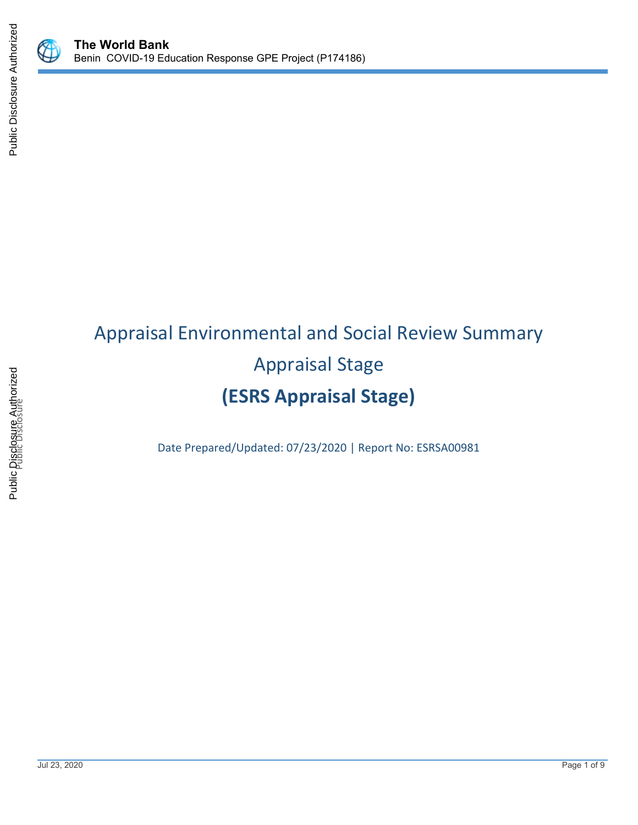



# Appraisal Environmental and Social Review Summary Appraisal Stage **(ESRS Appraisal Stage)**

Date Prepared/Updated: 07/23/2020 | Report No: ESRSA00981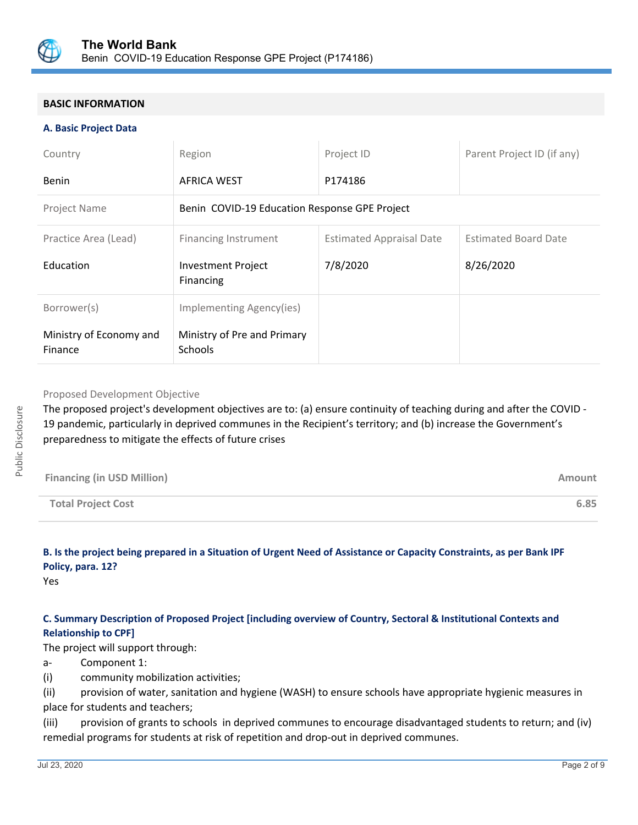

## **BASIC INFORMATION**

#### **A. Basic Project Data**

| Country                            | Region                                        | Project ID                      | Parent Project ID (if any)  |
|------------------------------------|-----------------------------------------------|---------------------------------|-----------------------------|
| Benin                              | <b>AFRICA WEST</b>                            | P174186                         |                             |
| Project Name                       | Benin COVID-19 Education Response GPE Project |                                 |                             |
| Practice Area (Lead)               | Financing Instrument                          | <b>Estimated Appraisal Date</b> | <b>Estimated Board Date</b> |
| Education                          | <b>Investment Project</b><br>Financing        | 7/8/2020                        | 8/26/2020                   |
| Borrower(s)                        | Implementing Agency(ies)                      |                                 |                             |
| Ministry of Economy and<br>Finance | Ministry of Pre and Primary<br><b>Schools</b> |                                 |                             |

#### Proposed Development Objective

The proposed project's development objectives are to: (a) ensure continuity of teaching during and after the COVID - 19 pandemic, particularly in deprived communes in the Recipient's territory; and (b) increase the Government's preparedness to mitigate the effects of future crises

| <b>Financing (in USD Million)</b> | <b>Amount</b> |
|-----------------------------------|---------------|
| <b>Total Project Cost</b>         | 6.85          |

# **B. Is the project being prepared in a Situation of Urgent Need of Assistance or Capacity Constraints, as per Bank IPF Policy, para. 12?**

Yes

## **C. Summary Description of Proposed Project [including overview of Country, Sectoral & Institutional Contexts and Relationship to CPF]**

The project will support through:

a- Component 1:

(i) community mobilization activities;

(ii) provision of water, sanitation and hygiene (WASH) to ensure schools have appropriate hygienic measures in place for students and teachers;

(iii) provision of grants to schools in deprived communes to encourage disadvantaged students to return; and (iv) remedial programs for students at risk of repetition and drop-out in deprived communes.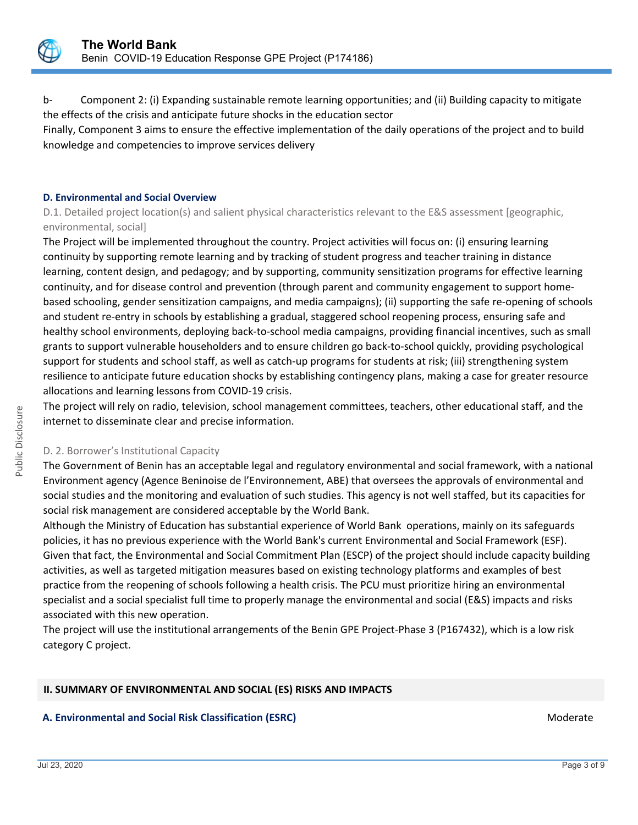

b- Component 2: (i) Expanding sustainable remote learning opportunities; and (ii) Building capacity to mitigate the effects of the crisis and anticipate future shocks in the education sector

Finally, Component 3 aims to ensure the effective implementation of the daily operations of the project and to build knowledge and competencies to improve services delivery

#### **D. Environmental and Social Overview**

D.1. Detailed project location(s) and salient physical characteristics relevant to the E&S assessment [geographic, environmental, social]

The Project will be implemented throughout the country. Project activities will focus on: (i) ensuring learning continuity by supporting remote learning and by tracking of student progress and teacher training in distance learning, content design, and pedagogy; and by supporting, community sensitization programs for effective learning continuity, and for disease control and prevention (through parent and community engagement to support homebased schooling, gender sensitization campaigns, and media campaigns); (ii) supporting the safe re-opening of schools and student re-entry in schools by establishing a gradual, staggered school reopening process, ensuring safe and healthy school environments, deploying back-to-school media campaigns, providing financial incentives, such as small grants to support vulnerable householders and to ensure children go back-to-school quickly, providing psychological support for students and school staff, as well as catch-up programs for students at risk; (iii) strengthening system resilience to anticipate future education shocks by establishing contingency plans, making a case for greater resource allocations and learning lessons from COVID-19 crisis.

The project will rely on radio, television, school management committees, teachers, other educational staff, and the internet to disseminate clear and precise information.

#### D. 2. Borrower's Institutional Capacity

The Government of Benin has an acceptable legal and regulatory environmental and social framework, with a national Environment agency (Agence Beninoise de l'Environnement, ABE) that oversees the approvals of environmental and social studies and the monitoring and evaluation of such studies. This agency is not well staffed, but its capacities for social risk management are considered acceptable by the World Bank.

Although the Ministry of Education has substantial experience of World Bank operations, mainly on its safeguards policies, it has no previous experience with the World Bank's current Environmental and Social Framework (ESF). Given that fact, the Environmental and Social Commitment Plan (ESCP) of the project should include capacity building activities, as well as targeted mitigation measures based on existing technology platforms and examples of best practice from the reopening of schools following a health crisis. The PCU must prioritize hiring an environmental specialist and a social specialist full time to properly manage the environmental and social (E&S) impacts and risks associated with this new operation.

The project will use the institutional arrangements of the Benin GPE Project-Phase 3 (P167432), which is a low risk category C project.

#### **II. SUMMARY OF ENVIRONMENTAL AND SOCIAL (ES) RISKS AND IMPACTS**

#### **A. Environmental and Social Risk Classification (ESRC) Moderate Social Analysis of Algebra** Moderate Moderate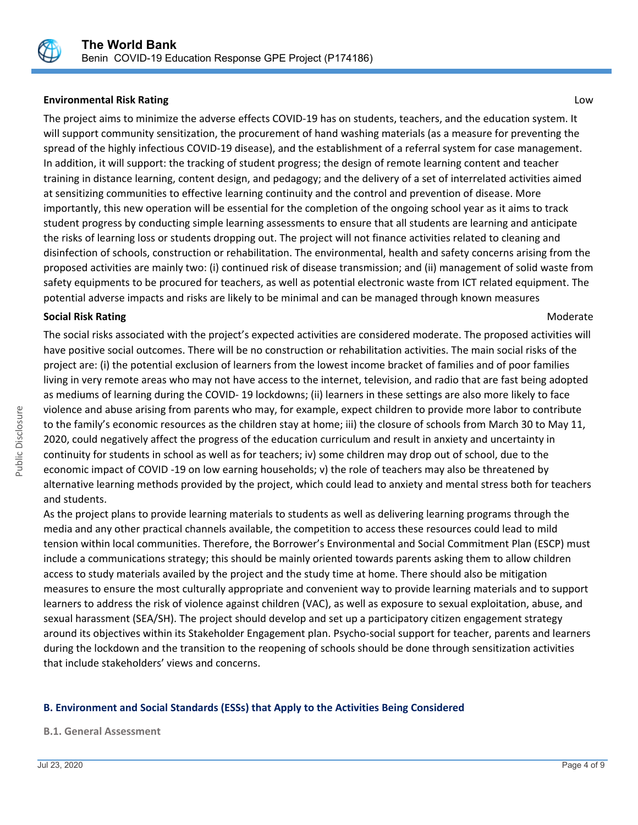

## **Environmental Risk Rating** Low

The project aims to minimize the adverse effects COVID-19 has on students, teachers, and the education system. It will support community sensitization, the procurement of hand washing materials (as a measure for preventing the spread of the highly infectious COVID-19 disease), and the establishment of a referral system for case management. In addition, it will support: the tracking of student progress; the design of remote learning content and teacher training in distance learning, content design, and pedagogy; and the delivery of a set of interrelated activities aimed at sensitizing communities to effective learning continuity and the control and prevention of disease. More importantly, this new operation will be essential for the completion of the ongoing school year as it aims to track student progress by conducting simple learning assessments to ensure that all students are learning and anticipate the risks of learning loss or students dropping out. The project will not finance activities related to cleaning and disinfection of schools, construction or rehabilitation. The environmental, health and safety concerns arising from the proposed activities are mainly two: (i) continued risk of disease transmission; and (ii) management of solid waste from safety equipments to be procured for teachers, as well as potential electronic waste from ICT related equipment. The potential adverse impacts and risks are likely to be minimal and can be managed through known measures

#### **Social Risk Rating Moderate Social Risk Rating Moderate**  $M$

The social risks associated with the project's expected activities are considered moderate. The proposed activities will have positive social outcomes. There will be no construction or rehabilitation activities. The main social risks of the project are: (i) the potential exclusion of learners from the lowest income bracket of families and of poor families living in very remote areas who may not have access to the internet, television, and radio that are fast being adopted as mediums of learning during the COVID- 19 lockdowns; (ii) learners in these settings are also more likely to face violence and abuse arising from parents who may, for example, expect children to provide more labor to contribute to the family's economic resources as the children stay at home; iii) the closure of schools from March 30 to May 11, 2020, could negatively affect the progress of the education curriculum and result in anxiety and uncertainty in continuity for students in school as well as for teachers; iv) some children may drop out of school, due to the economic impact of COVID -19 on low earning households; v) the role of teachers may also be threatened by alternative learning methods provided by the project, which could lead to anxiety and mental stress both for teachers and students.

As the project plans to provide learning materials to students as well as delivering learning programs through the media and any other practical channels available, the competition to access these resources could lead to mild tension within local communities. Therefore, the Borrower's Environmental and Social Commitment Plan (ESCP) must include a communications strategy; this should be mainly oriented towards parents asking them to allow children access to study materials availed by the project and the study time at home. There should also be mitigation measures to ensure the most culturally appropriate and convenient way to provide learning materials and to support learners to address the risk of violence against children (VAC), as well as exposure to sexual exploitation, abuse, and sexual harassment (SEA/SH). The project should develop and set up a participatory citizen engagement strategy around its objectives within its Stakeholder Engagement plan. Psycho-social support for teacher, parents and learners during the lockdown and the transition to the reopening of schools should be done through sensitization activities that include stakeholders' views and concerns.

## **B. Environment and Social Standards (ESSs) that Apply to the Activities Being Considered**

#### **B.1. General Assessment**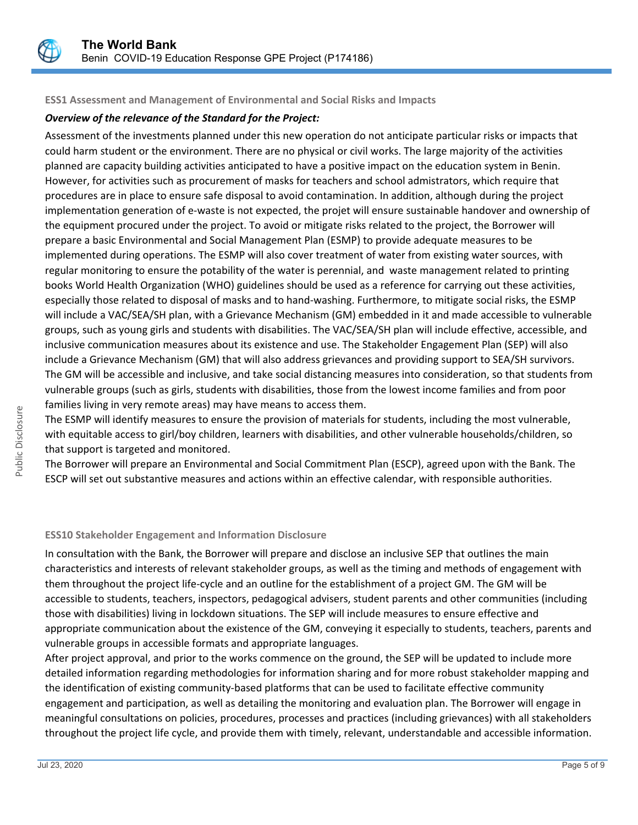

#### **ESS1 Assessment and Management of Environmental and Social Risks and Impacts**

## *Overview of the relevance of the Standard for the Project:*

Assessment of the investments planned under this new operation do not anticipate particular risks or impacts that could harm student or the environment. There are no physical or civil works. The large majority of the activities planned are capacity building activities anticipated to have a positive impact on the education system in Benin. However, for activities such as procurement of masks for teachers and school admistrators, which require that procedures are in place to ensure safe disposal to avoid contamination. In addition, although during the project implementation generation of e-waste is not expected, the projet will ensure sustainable handover and ownership of the equipment procured under the project. To avoid or mitigate risks related to the project, the Borrower will prepare a basic Environmental and Social Management Plan (ESMP) to provide adequate measures to be implemented during operations. The ESMP will also cover treatment of water from existing water sources, with regular monitoring to ensure the potability of the water is perennial, and waste management related to printing books World Health Organization (WHO) guidelines should be used as a reference for carrying out these activities, especially those related to disposal of masks and to hand-washing. Furthermore, to mitigate social risks, the ESMP will include a VAC/SEA/SH plan, with a Grievance Mechanism (GM) embedded in it and made accessible to vulnerable groups, such as young girls and students with disabilities. The VAC/SEA/SH plan will include effective, accessible, and inclusive communication measures about its existence and use. The Stakeholder Engagement Plan (SEP) will also include a Grievance Mechanism (GM) that will also address grievances and providing support to SEA/SH survivors. The GM will be accessible and inclusive, and take social distancing measures into consideration, so that students from vulnerable groups (such as girls, students with disabilities, those from the lowest income families and from poor families living in very remote areas) may have means to access them.

The ESMP will identify measures to ensure the provision of materials for students, including the most vulnerable, with equitable access to girl/boy children, learners with disabilities, and other vulnerable households/children, so that support is targeted and monitored.

The Borrower will prepare an Environmental and Social Commitment Plan (ESCP), agreed upon with the Bank. The ESCP will set out substantive measures and actions within an effective calendar, with responsible authorities.

## **ESS10 Stakeholder Engagement and Information Disclosure**

In consultation with the Bank, the Borrower will prepare and disclose an inclusive SEP that outlines the main characteristics and interests of relevant stakeholder groups, as well as the timing and methods of engagement with them throughout the project life-cycle and an outline for the establishment of a project GM. The GM will be accessible to students, teachers, inspectors, pedagogical advisers, student parents and other communities (including those with disabilities) living in lockdown situations. The SEP will include measures to ensure effective and appropriate communication about the existence of the GM, conveying it especially to students, teachers, parents and vulnerable groups in accessible formats and appropriate languages.

After project approval, and prior to the works commence on the ground, the SEP will be updated to include more detailed information regarding methodologies for information sharing and for more robust stakeholder mapping and the identification of existing community-based platforms that can be used to facilitate effective community engagement and participation, as well as detailing the monitoring and evaluation plan. The Borrower will engage in meaningful consultations on policies, procedures, processes and practices (including grievances) with all stakeholders throughout the project life cycle, and provide them with timely, relevant, understandable and accessible information.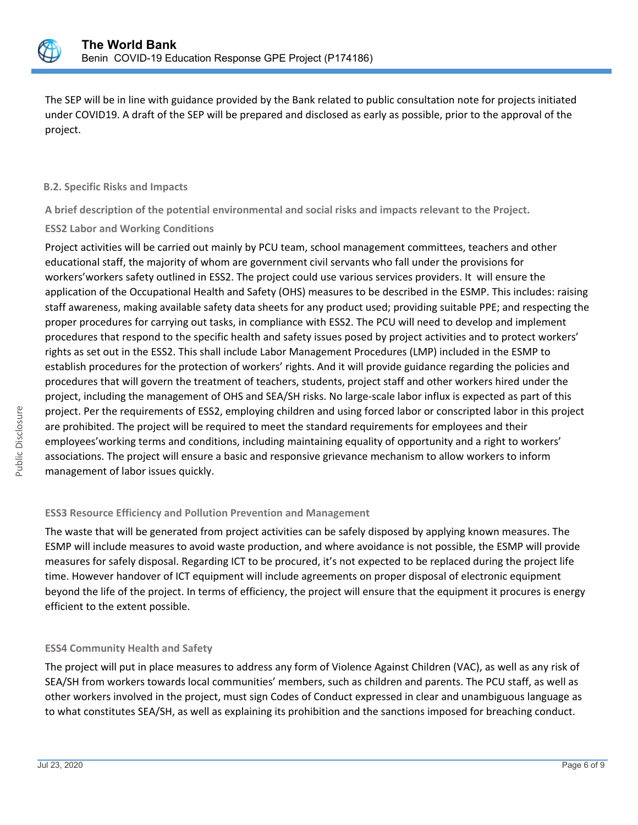

The SEP will be in line with guidance provided by the Bank related to public consultation note for projects initiated under COVID19. A draft of the SEP will be prepared and disclosed as early as possible, prior to the approval of the project.

#### **B.2. Specific Risks and Impacts**

**A brief description of the potential environmental and social risks and impacts relevant to the Project.**

## **ESS2 Labor and Working Conditions**

Project activities will be carried out mainly by PCU team, school management committees, teachers and other educational staff, the majority of whom are government civil servants who fall under the provisions for workers'workers safety outlined in ESS2. The project could use various services providers. It will ensure the application of the Occupational Health and Safety (OHS) measures to be described in the ESMP. This includes: raising staff awareness, making available safety data sheets for any product used; providing suitable PPE; and respecting the proper procedures for carrying out tasks, in compliance with ESS2. The PCU will need to develop and implement procedures that respond to the specific health and safety issues posed by project activities and to protect workers' rights as set out in the ESS2. This shall include Labor Management Procedures (LMP) included in the ESMP to establish procedures for the protection of workers' rights. And it will provide guidance regarding the policies and procedures that will govern the treatment of teachers, students, project staff and other workers hired under the project, including the management of OHS and SEA/SH risks. No large-scale labor influx is expected as part of this project. Per the requirements of ESS2, employing children and using forced labor or conscripted labor in this project are prohibited. The project will be required to meet the standard requirements for employees and their employees'working terms and conditions, including maintaining equality of opportunity and a right to workers' associations. The project will ensure a basic and responsive grievance mechanism to allow workers to inform management of labor issues quickly.

## **ESS3 Resource Efficiency and Pollution Prevention and Management**

The waste that will be generated from project activities can be safely disposed by applying known measures. The ESMP will include measures to avoid waste production, and where avoidance is not possible, the ESMP will provide measures for safely disposal. Regarding ICT to be procured, it's not expected to be replaced during the project life time. However handover of ICT equipment will include agreements on proper disposal of electronic equipment beyond the life of the project. In terms of efficiency, the project will ensure that the equipment it procures is energy efficient to the extent possible.

## **ESS4 Community Health and Safety**

The project will put in place measures to address any form of Violence Against Children (VAC), as well as any risk of SEA/SH from workers towards local communities' members, such as children and parents. The PCU staff, as well as other workers involved in the project, must sign Codes of Conduct expressed in clear and unambiguous language as to what constitutes SEA/SH, as well as explaining its prohibition and the sanctions imposed for breaching conduct.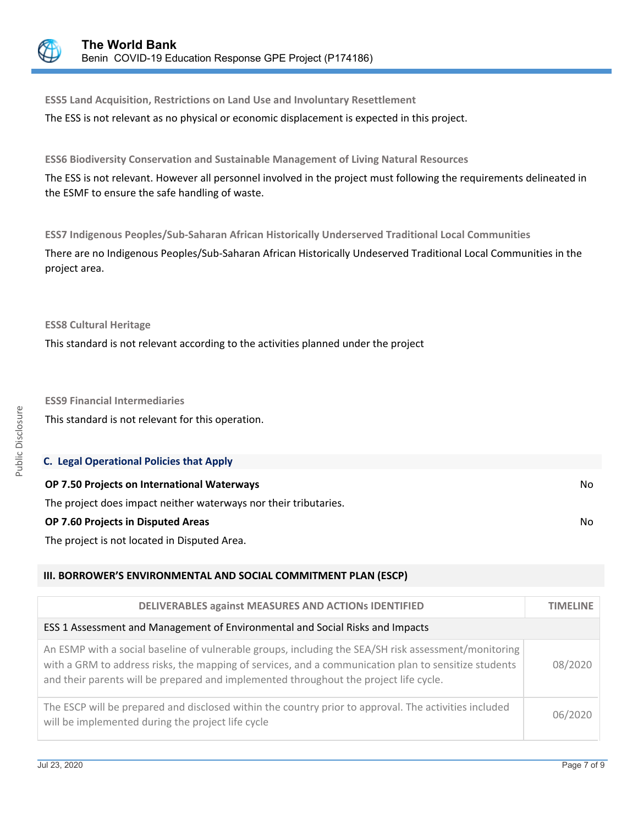

**ESS5 Land Acquisition, Restrictions on Land Use and Involuntary Resettlement** The ESS is not relevant as no physical or economic displacement is expected in this project.

**ESS6 Biodiversity Conservation and Sustainable Management of Living Natural Resources**

The ESS is not relevant. However all personnel involved in the project must following the requirements delineated in the ESMF to ensure the safe handling of waste.

**ESS7 Indigenous Peoples/Sub-Saharan African Historically Underserved Traditional Local Communities**

There are no Indigenous Peoples/Sub-Saharan African Historically Undeserved Traditional Local Communities in the project area.

**ESS8 Cultural Heritage**

This standard is not relevant according to the activities planned under the project

**ESS9 Financial Intermediaries** This standard is not relevant for this operation.

| <b>C. Legal Operational Policies that Apply</b>                  |     |
|------------------------------------------------------------------|-----|
| <b>OP 7.50 Projects on International Waterways</b>               | No. |
| The project does impact neither waterways nor their tributaries. |     |
| <b>OP 7.60 Projects in Disputed Areas</b>                        | No. |
| The project is not located in Disputed Area.                     |     |

## **III. BORROWER'S ENVIRONMENTAL AND SOCIAL COMMITMENT PLAN (ESCP)**

| <b>DELIVERABLES against MEASURES AND ACTIONS IDENTIFIED</b>                                                                                                                                                                                                                                           | TIMELINE |
|-------------------------------------------------------------------------------------------------------------------------------------------------------------------------------------------------------------------------------------------------------------------------------------------------------|----------|
| ESS 1 Assessment and Management of Environmental and Social Risks and Impacts                                                                                                                                                                                                                         |          |
| An ESMP with a social baseline of vulnerable groups, including the SEA/SH risk assessment/monitoring<br>with a GRM to address risks, the mapping of services, and a communication plan to sensitize students<br>and their parents will be prepared and implemented throughout the project life cycle. | 08/2020  |
| The ESCP will be prepared and disclosed within the country prior to approval. The activities included<br>will be implemented during the project life cycle                                                                                                                                            | 06/2020  |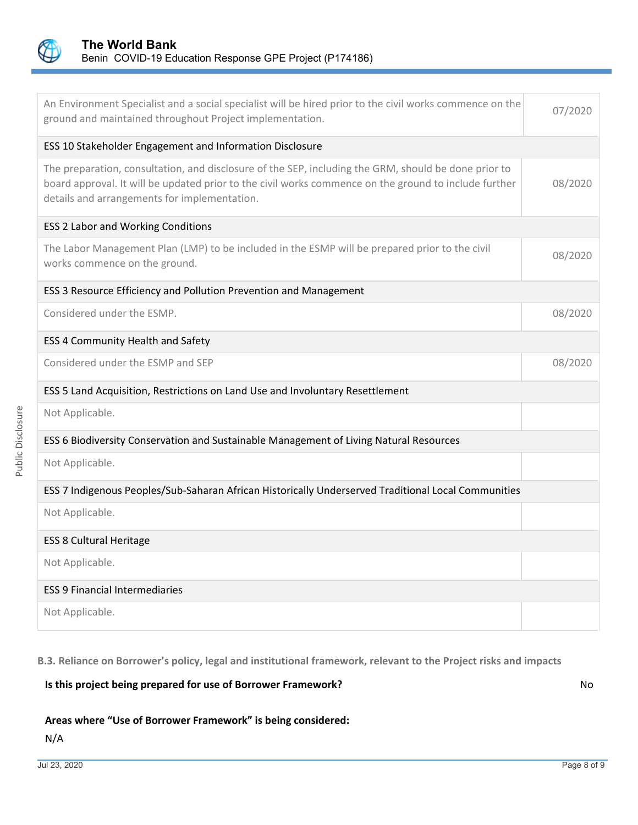

| An Environment Specialist and a social specialist will be hired prior to the civil works commence on the<br>ground and maintained throughout Project implementation.                                                                                          | 07/2020 |
|---------------------------------------------------------------------------------------------------------------------------------------------------------------------------------------------------------------------------------------------------------------|---------|
| ESS 10 Stakeholder Engagement and Information Disclosure                                                                                                                                                                                                      |         |
| The preparation, consultation, and disclosure of the SEP, including the GRM, should be done prior to<br>board approval. It will be updated prior to the civil works commence on the ground to include further<br>details and arrangements for implementation. | 08/2020 |
| <b>ESS 2 Labor and Working Conditions</b>                                                                                                                                                                                                                     |         |
| The Labor Management Plan (LMP) to be included in the ESMP will be prepared prior to the civil<br>works commence on the ground.                                                                                                                               | 08/2020 |
| ESS 3 Resource Efficiency and Pollution Prevention and Management                                                                                                                                                                                             |         |
| Considered under the ESMP.                                                                                                                                                                                                                                    | 08/2020 |
| ESS 4 Community Health and Safety                                                                                                                                                                                                                             |         |
| Considered under the ESMP and SEP                                                                                                                                                                                                                             | 08/2020 |
| ESS 5 Land Acquisition, Restrictions on Land Use and Involuntary Resettlement                                                                                                                                                                                 |         |
| Not Applicable.                                                                                                                                                                                                                                               |         |
| ESS 6 Biodiversity Conservation and Sustainable Management of Living Natural Resources                                                                                                                                                                        |         |
| Not Applicable.                                                                                                                                                                                                                                               |         |
| ESS 7 Indigenous Peoples/Sub-Saharan African Historically Underserved Traditional Local Communities                                                                                                                                                           |         |
| Not Applicable.                                                                                                                                                                                                                                               |         |
| <b>ESS 8 Cultural Heritage</b>                                                                                                                                                                                                                                |         |
| Not Applicable.                                                                                                                                                                                                                                               |         |
| <b>ESS 9 Financial Intermediaries</b>                                                                                                                                                                                                                         |         |
| Not Applicable.                                                                                                                                                                                                                                               |         |

**B.3. Reliance on Borrower's policy, legal and institutional framework, relevant to the Project risks and impacts**

## **Is this project being prepared for use of Borrower Framework?** No

## **Areas where "Use of Borrower Framework" is being considered:**

Public Disclosure

Public Disclosure